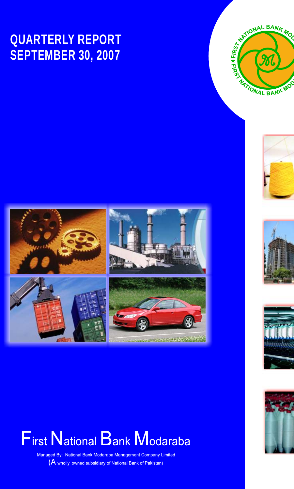## **QUARTERLY REPORT SEPTEMBER 30, 2007**











# **First National Bank Modaraba**

Managed By: National Bank Modaraba Management Company Limited (A wholly owned subsidiary of National Bank of Pakistan)

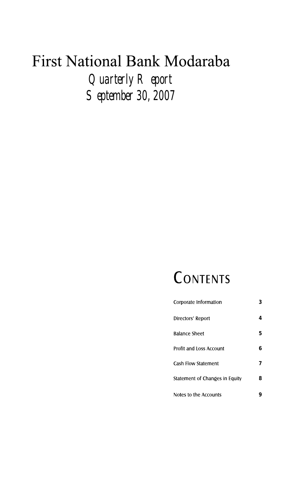*Quarterly Report September 30, 2007*

# CONTENTS

| Corporate Information          | 3 |
|--------------------------------|---|
| Directors' Report              | 4 |
| Balance Sheet                  | 5 |
| Profit and Loss Account        | 6 |
| Cash Flow Statement            | 7 |
| Statement of Changes in Equity | 8 |
| Notes to the Accounts          |   |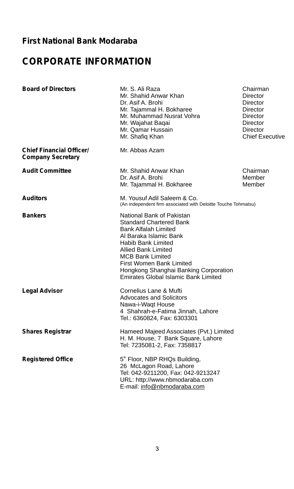## **CORPORATE INFORMATION**

| <b>Board of Directors</b>                                   | Mr. S. Ali Raza<br>Mr. Shahid Anwar Khan<br>Dr. Asif A. Brohi<br>Mr. Tajammal H. Bokharee<br>Mr. Muhammad Nusrat Vohra<br>Mr. Wajahat Bagai<br>Mr. Qamar Hussain<br>Mr. Shafiq Khan                                                                                                                                     | Chairman<br>Director<br>Director<br>Director<br>Director<br>Director<br>Director<br><b>Chief Executive</b> |
|-------------------------------------------------------------|-------------------------------------------------------------------------------------------------------------------------------------------------------------------------------------------------------------------------------------------------------------------------------------------------------------------------|------------------------------------------------------------------------------------------------------------|
| <b>Chief Financial Officer/</b><br><b>Company Secretary</b> | Mr. Abbas Azam                                                                                                                                                                                                                                                                                                          |                                                                                                            |
| <b>Audit Committee</b>                                      | Mr. Shahid Anwar Khan<br>Dr. Asif A. Brohi<br>Mr. Tajammal H. Bokharee                                                                                                                                                                                                                                                  | Chairman<br>Member<br>Member                                                                               |
| <b>Auditors</b>                                             | M. Yousuf Adil Saleem & Co.<br>(An independent firm associated with Deloitte Touche Tohmatsu)                                                                                                                                                                                                                           |                                                                                                            |
| <b>Bankers</b>                                              | National Bank of Pakistan<br><b>Standard Chartered Bank</b><br><b>Bank Alfalah Limited</b><br>Al Baraka Islamic Bank<br>Habib Bank Limited<br><b>Allied Bank Limited</b><br><b>MCB Bank Limited</b><br>First Women Bank Limited<br>Hongkong Shanghai Banking Corporation<br><b>Emirates Global Islamic Bank Limited</b> |                                                                                                            |
| <b>Legal Advisor</b>                                        | Cornelius Lane & Mufti<br><b>Advocates and Solicitors</b><br>Nawa-i-Waqt House<br>4 Shahrah-e-Fatima Jinnah, Lahore<br>Tel.: 6360824, Fax: 6303301                                                                                                                                                                      |                                                                                                            |
| <b>Shares Registrar</b>                                     | Hameed Majeed Associates (Pvt.) Limited<br>H. M. House, 7 Bank Square, Lahore<br>Tel: 7235081-2, Fax: 7358817                                                                                                                                                                                                           |                                                                                                            |
| <b>Registered Office</b>                                    | 5th Floor, NBP RHQs Building,<br>26 McLagon Road, Lahore<br>Tel: 042-9211200, Fax: 042-9213247<br>URL: http://www.nbmodaraba.com<br>E-mail: info@nbmodaraba.com                                                                                                                                                         |                                                                                                            |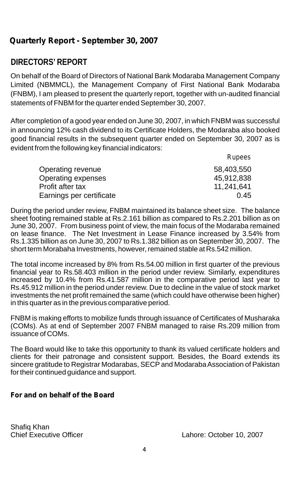## **DIRECTORS' REPORT**

On behalf of the Board of Directors of National Bank Modaraba Management Company Limited (NBMMCL), the Management Company of First National Bank Modaraba (FNBM), I am pleased to present the quarterly report, together with un-audited financial statements of FNBM for the quarter ended September 30, 2007.

After completion of a good year ended on June 30, 2007, in which FNBM was successful in announcing 12% cash dividend to its Certificate Holders, the Modaraba also booked good financial results in the subsequent quarter ended on September 30, 2007 as is evident from the following key financial indicators:

|                          | Rupees     |
|--------------------------|------------|
| Operating revenue        | 58,403,550 |
| Operating expenses       | 45,912,838 |
| Profit after tax         | 11,241,641 |
| Earnings per certificate | 0.45       |

During the period under review, FNBM maintained its balance sheet size. The balance sheet footing remained stable at Rs.2.161 billion as compared to Rs.2.201 billion as on June 30, 2007. From business point of view, the main focus of the Modaraba remained on lease finance. The Net Investment in Lease Finance increased by 3.54% from Rs.1.335 billion as on June 30, 2007 to Rs.1.382 billion as on September 30, 2007. The short term Morabaha Investments, however, remained stable at Rs.542 million.

The total income increased by 8% from Rs.54.00 million in first quarter of the previous financial year to Rs.58.403 million in the period under review. Similarly, expenditures increased by 10.4% from Rs.41.587 million in the comparative period last year to Rs.45.912 million in the period under review. Due to decline in the value of stock market investments the net profit remained the same (which could have otherwise been higher) in this quarter as in the previous comparative period.

FNBM is making efforts to mobilize funds through issuance of Certificates of Musharaka (COMs). As at end of September 2007 FNBM managed to raise Rs.209 million from issuance of COMs.

The Board would like to take this opportunity to thank its valued certificate holders and clients for their patronage and consistent support. Besides, the Board extends its sincere gratitude to Registrar Modarabas, SECPand Modaraba Association of Pakistan for their continued guidance and support.

### **For and on behalf of the Board**

Shafiq Khan<br>Chief Executive Officer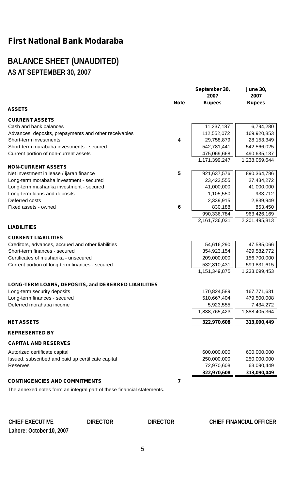## **BALANCE SHEET (UNAUDITED) AS AT SEPTEMBER 30, 2007**

|                                                                                 | <b>Note</b>    | September 30,<br>2007<br><b>Rupees</b> | <b>June 30,</b><br>2007<br><b>Rupees</b> |
|---------------------------------------------------------------------------------|----------------|----------------------------------------|------------------------------------------|
| ASSETS                                                                          |                |                                        |                                          |
| <b>CURRENT ASSETS</b>                                                           |                |                                        |                                          |
| Cash and bank balances<br>Advances, deposits, prepayments and other receivables |                | 11,237,187<br>112,552,072              | 6,794,280<br>169,920,853                 |
| Short-term investments                                                          | 4              | 29,758,879                             | 28,153,349                               |
| Short-term murabaha investments - secured                                       |                | 542,781,441                            | 542,566,025                              |
| Current portion of non-current assets                                           |                | 475,069,668                            | 490,635,137                              |
|                                                                                 |                | 1,171,399,247                          | 1,238,069,644                            |
| <b>NON-CURRENT ASSETS</b>                                                       |                |                                        |                                          |
| Net investment in lease / ijarah finance                                        | 5              | 921,637,576                            | 890,364,786                              |
| Long-term morabaha investment - secured                                         |                | 23,423,555                             | 27,434,272                               |
| Long-term musharika investment - secured                                        |                | 41,000,000                             | 41,000,000                               |
| Long-term loans and deposits                                                    |                | 1,105,550                              | 933,712                                  |
| Deferred costs                                                                  |                | 2,339,915                              | 2,839,949                                |
| Fixed assets - owned                                                            | 6              | 830,188                                | 853,450                                  |
|                                                                                 |                | 990,336,784                            | 963,426,169                              |
|                                                                                 |                | 2,161,736,031                          | 2,201,495,813                            |
| <b>LIABILITIES</b>                                                              |                |                                        |                                          |
| <b>CURRENT LIABILITIES</b>                                                      |                |                                        |                                          |
| Creditors, advances, accrued and other liabilities                              |                | 54,616,290                             | 47,585,066                               |
| Short-term finances - secured                                                   |                | 354,923,154                            | 429,582,772                              |
| Certificates of musharika - unsecured                                           |                | 209,000,000                            | 156,700,000                              |
| Current portion of long-term finances - secured                                 |                | 532,810,431                            | 599,831,615                              |
|                                                                                 |                | 1,151,349,875                          | 1,233,699,453                            |
| LONG-TERM LOANS, DEPOSITS, and DERERRED LIABILITIES                             |                |                                        |                                          |
| Long-term security deposits                                                     |                | 170,824,589                            | 167,771,631                              |
| Long-term finances - secured                                                    |                | 510,667,404                            | 479,500,008                              |
| Deferred morahaba income                                                        |                | 5,923,555                              | 7,434,272                                |
|                                                                                 |                | 1,838,765,423                          | 1,888,405,364                            |
| NET ASSETS                                                                      |                | 322,970,608                            | 313,090,449                              |
| <b>REPRESENTED BY</b>                                                           |                |                                        |                                          |
| <b>CAPITAL AND RESERVES</b>                                                     |                |                                        |                                          |
| Autorized certificate capital                                                   |                | 600,000,000                            | 600,000,000                              |
| Issued, subscribed and paid up certificate capital                              |                | 250,000,000                            | 250,000,000                              |
| Reserves                                                                        |                | 72,970,608                             | 63,090,449                               |
|                                                                                 |                | 322,970,608                            | 313,090,449                              |
| <b>CONTINGENCIES AND COMMITMENTS</b>                                            | $\overline{7}$ |                                        |                                          |
| The annexed notes form an integral part of these financial statements.          |                |                                        |                                          |
|                                                                                 |                |                                        |                                          |

**CHIEF EXECUTIVE DIRECTOR DIRECTOR CHIEF FINANCIAL OFFICER Lahore: October 10, 2007**

### $\overline{\phantom{0}}$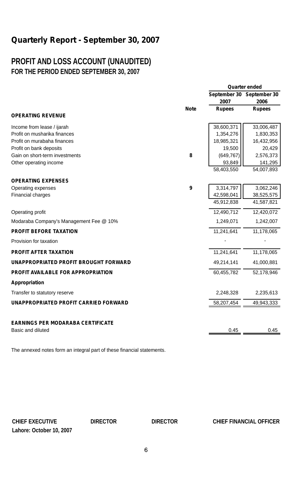## **PROFIT AND LOSS ACCOUNT (UNAUDITED) FOR THE PERIOD ENDED SEPTEMBER 30, 2007**

|                                           |             | Quarter ended |                           |
|-------------------------------------------|-------------|---------------|---------------------------|
|                                           |             |               | September 30 September 30 |
|                                           |             | 2007          | 2006                      |
|                                           | <b>Note</b> | <b>Rupees</b> | <b>Rupees</b>             |
| <b>OPERATING REVENUE</b>                  |             |               |                           |
| Income from lease / ijarah                |             | 38,600,371    | 33,006,487                |
| Profit on musharika finances              |             | 1,354,276     | 1,830,353                 |
| Profit on murabaha finances               |             | 18,985,321    | 16,432,956                |
| Profit on bank deposits                   |             | 19,500        | 20,429                    |
| Gain on short-term investments            | 8           | (649, 767)    | 2,576,373                 |
| Other operating income                    |             | 93,849        | 141,295                   |
|                                           |             | 58,403,550    | 54,007,893                |
| <b>OPERATING EXPENSES</b>                 |             |               |                           |
| Operating expenses                        | 9           | 3,314,797     | 3,062,246                 |
| Financial charges                         |             | 42,598,041    | 38,525,575                |
|                                           |             | 45,912,838    | 41,587,821                |
| Operating profit                          |             | 12,490,712    | 12,420,072                |
| Modaraba Company's Management Fee @ 10%   |             | 1,249,071     | 1,242,007                 |
| <b>PROFIT BEFORE TAXATION</b>             |             | 11,241,641    | 11,178,065                |
| Provision for taxation                    |             |               |                           |
| <b>PROFIT AFTER TAXATION</b>              |             | 11,241,641    | 11,178,065                |
| UNAPPROPRIATED PROFIT BROUGHT FORWARD     |             | 49,214,141    | 41,000,881                |
| <b>PROFIT AVAILABLE FOR APPROPRIATION</b> |             | 60,455,782    | 52,178,946                |
| Appropriation                             |             |               |                           |
| Transfer to statutory reserve             |             | 2,248,328     | 2,235,613                 |
| UNAPPROPRIATED PROFIT CARRIED FORWARD     |             | 58,207,454    | 49,943,333                |
|                                           |             |               |                           |
| <b>EARNINGS PER MODARABA CERTIFICATE</b>  |             |               |                           |
| Basic and diluted                         |             | 0.45          | 0.45                      |

The annexed notes form an integral part of these financial statements.

**Lahore: October 10, 2007**

**CHIEF EXECUTIVE DIRECTOR DIRECTOR CHIEF FINANCIAL OFFICER**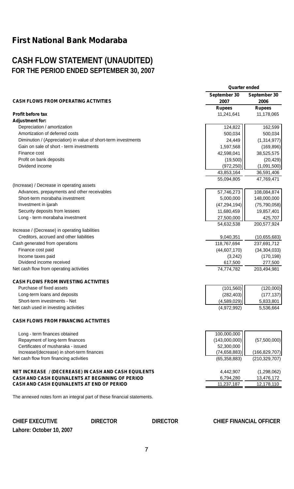## **CASH FLOW STATEMENT (UNAUDITED) FOR THE PERIOD ENDED SEPTEMBER 30, 2007**

|                                                                | Quarter ended  |                 |
|----------------------------------------------------------------|----------------|-----------------|
|                                                                | September 30   | September 30    |
| <b>CASH FLOWS FROM OPERATING ACTIVITIES</b>                    | 2007           | 2006            |
|                                                                | <b>Rupees</b>  | <b>Rupees</b>   |
| <b>Profit before tax</b>                                       | 11,241,641     | 11,178,065      |
| <b>Adjustment for:</b>                                         |                |                 |
| Depreciation / amortization                                    | 124,822        | 162,599         |
| Amortization of deferred costs                                 | 500.034        | 500,034         |
| Diminution / (Appreciation) in value of short-term investments | 24,449         | (1,314,977)     |
| Gain on sale of short - term investments                       | 1,597,568      | (169, 896)      |
| Finance cost                                                   | 42,598,041     | 38,525,575      |
| Profit on bank deposits                                        | (19,500)       | (20, 429)       |
| Dividend income                                                | (972, 250)     | (1,091,500)     |
|                                                                | 43,853,164     | 36,591,406      |
|                                                                | 55.094.805     | 47,769,471      |
| (Increase) / Decrease in operating assets                      |                |                 |
| Advances, prepayments and other receivables                    | 57,746,273     | 108,084,874     |
| Short-term morabaha investment                                 | 5,000,000      | 148,000,000     |
| Investment in ijarah                                           | (47, 294, 194) | (75, 790, 058)  |
| Security deposits from lessees                                 | 11,680,459     | 19,857,401      |
| Long - term morabaha investment                                | 27,500,000     | 425,707         |
|                                                                | 54,632,538     | 200,577,924     |
| Increase / (Decrease) in operating liabilities                 |                |                 |
| Creditors, accrued and other liabilities                       | 9,040,351      | (10,655,683)    |
| Cash generated from operations                                 | 118,767,694    | 237,691,712     |
| Finance cost paid                                              | (44, 607, 170) | (34, 304, 033)  |
| Income taxes paid                                              | (3,242)        | (170, 198)      |
| Dividend income received                                       | 617,500        | 277,500         |
| Net cash flow from operating activities                        | 74,774,782     | 203,494,981     |
| <b>CASH FLOWS FROM INVESTING ACTIVITIES</b>                    |                |                 |
| Purchase of fixed assets                                       | (101, 560)     | (120,000)       |
| Long-term loans and deposits                                   | (282, 403)     | (177, 137)      |
| Short-term investments - Net                                   | (4,589,029)    | 5,833,801       |
| Net cash used in investing activities                          | (4,972,992)    | 5,536,664       |
| <b>CASH FLOWS FROM FINANCING ACTIVITIES</b>                    |                |                 |
| Long - term finances obtained                                  | 100,000,000    |                 |
| Repayment of long-term finances                                | (143,000,000)  | (57,500,000)    |
| Certificates of musharaka - issued                             | 52,300,000     |                 |
| Increase/(decrease) in short-term finances                     | (74, 658, 883) | (166, 829, 707) |
| Net cash flow from financing activities                        | (65, 358, 883) | (210, 329, 707) |
| <b>NET INCREASE / (DECEREASE) IN CASH AND CASH EQUILENTS</b>   | 4,442,907      | (1,298,062)     |
| <b>CASH AND CASH EQUIVALENTS AT BEGINNING OF PERIOD</b>        | 6,794,280      | 13,476,172      |
| CASH AND CASH EQUIVALENTS AT END OF PERIOD                     | 11,237,187     | 12,178,110      |
|                                                                |                |                 |

The annexed notes form an integral part of these financial statements.

**CHIEF EXECUTIVE DIRECTOR DIRECTOR CHIEF FINANCIAL OFFICER Lahore: October 10, 2007**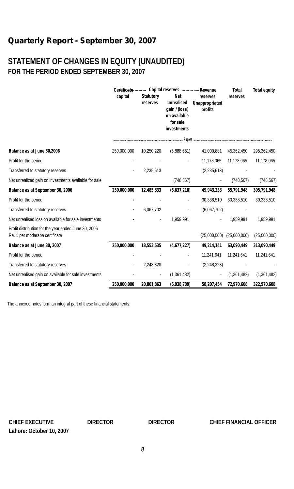## **STATEMENT OF CHANGES IN EQUITY (UNAUDITED) FOR THE PERIOD ENDED SEPTEMBER 30, 2007**

|                                                                                        | capital     | <b>Statutory</b><br>reserves | Certificate Capital reserves Revenue<br>Net<br>unrealised<br>gain / (loss)<br>on available<br>for sale<br>investments | reserves<br>Unappropriated<br>profits | Total<br>reserves | <b>Total equity</b> |
|----------------------------------------------------------------------------------------|-------------|------------------------------|-----------------------------------------------------------------------------------------------------------------------|---------------------------------------|-------------------|---------------------|
|                                                                                        |             |                              |                                                                                                                       |                                       |                   |                     |
| Balance as at June 30,2006                                                             | 250,000,000 | 10,250,220                   | (5,888,651)                                                                                                           | 41,000,881                            | 45.362.450        | 295,362,450         |
| Profit for the period                                                                  |             |                              |                                                                                                                       | 11.178.065                            | 11.178.065        | 11,178,065          |
| Transferred to statutory reserves                                                      |             | 2,235,613                    |                                                                                                                       | (2, 235, 613)                         |                   |                     |
| Net unrealized gain on investments available for sale                                  |             |                              | (748, 567)                                                                                                            |                                       | (748, 567)        | (748, 567)          |
| Balance as at September 30, 2006                                                       | 250,000,000 | 12,485,833                   | (6,637,218)                                                                                                           | 49,943,333                            | 55,791,948        | 305,791,948         |
| Profit for the period                                                                  |             |                              |                                                                                                                       | 30,338,510                            | 30,338,510        | 30,338,510          |
| Transferred to statutory reserves                                                      |             | 6,067,702                    |                                                                                                                       | (6,067,702)                           |                   |                     |
| Net unrealised loss on available for sale investments                                  |             |                              | 1.959.991                                                                                                             |                                       | 1.959.991         | 1.959.991           |
| Profit distribution for the year ended June 30, 2006<br>Re. 1 per modaraba certificate |             |                              |                                                                                                                       | (25,000,000)                          | (25,000,000)      | (25,000,000)        |
| Balance as at June 30, 2007                                                            | 250,000,000 | 18,553,535                   | (4,677,227)                                                                                                           | 49,214,141                            | 63,090,449        | 313,090,449         |
| Profit for the period                                                                  |             |                              |                                                                                                                       | 11,241,641                            | 11,241,641        | 11,241,641          |
| Transferred to statutory reserves                                                      |             | 2,248,328                    |                                                                                                                       | (2, 248, 328)                         |                   |                     |
| Net unrealised gain on available for sale investments                                  |             |                              | (1,361,482)                                                                                                           |                                       | (1.361, 482)      | (1,361,482)         |
| Balance as at September 30, 2007                                                       | 250,000,000 | 20,801,863                   | (6,038,709)                                                                                                           | 58,207,454                            | 72,970,608        | 322,970,608         |

The annexed notes form an integral part of these financial statements.

**Lahore: October 10, 2007**

#### **CHIEF EXECUTIVE DIRECTOR DIRECTOR CHIEF FINANCIAL OFFICER**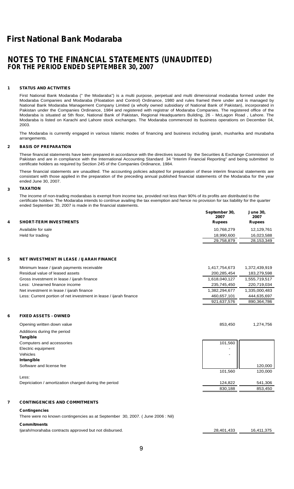### **NOTES TO THE FINANCIAL STATEMENTS (UNAUDITED) FOR THE PERIOD ENDED SEPTEMBER 30, 2007**

#### **1 STATUS AND ACTIVITIES**

First National Bank Modaraba (" the Modaraba") is a multi purpose, perpetual and multi dimensional modaraba formed under the Modaraba Companies and Modaraba (Floatation and Control) Ordinance, 1980 and rules framed there under and is managed by National Bank Modaraba Management Company Limited (a wholly owned subsidiary of National Bank of Pakistan), incorporated in Pakistan under the Companies Ordinance, 1984 and registered with registrar of Modaraba Companies. The registered office of the Modaraba is situated at 5th floor, National Bank of Pakistan, Regional Headquarters Building, 26 - McLagon Road , Lahore. The Modaraba is listed on Karachi and Lahore stock exchanges. The Modaraba commenced its business operations on December 04, 2003.

The Modaraba is currently engaged in various Islamic modes of financing and business including ijarah, musharika and murabaha arrangements.

#### **2 BASIS OF PREPARATION**

These financial statements have been prepared in accordance with the directives issued by the Securities & Exchange Commission of Pakistan and are in compliance with the International Accounting Standard 34 "Interim Financial Reporting" and being submitted to certificate holders as required by Section 245 of the Companies Ordinance, 1984.

These financial statements are unaudited. The accounting policies adopted for preparation of these interim financial statements are consistant with those applied in the preparation of the preceding annual published financial statements of the Modaraba for the year ended June 30, 2007.

#### **3 TAXATION**

 The income of non-trading modarabas is exempt from income tax, provided not less than 90% of its profits are distributed to the certificate holders. The Modaraba intends to continue availing the tax exemption and hence no provision for tax liability for the quarter<br>ended Sentember 30, 2007 is made in the financial statements ended September 30, 2007 is made in the financial statements.

| 4 | <b>SHORT-TERM INVESTMENTS</b> | September 30.<br>2007<br><b>Rupees</b> | <b>June 30,</b><br>2007<br><b>Rupees</b> |
|---|-------------------------------|----------------------------------------|------------------------------------------|
|   | Available for sale            | 10.768.279                             | 12.129.761                               |
|   | Held for trading              | 18.990.600                             | 16,023,588                               |
|   |                               | 29,758,879                             | 28,153,349                               |

#### **5 NET INVESTMENT IN LEASE / IJARAH FINANCE**

| Minimum lease / ijarah payments receivable                        | 1.417.754.673 | 1.372.439.919 |
|-------------------------------------------------------------------|---------------|---------------|
| Residual value of leased assets                                   | 200.285.454   | 183,279,598   |
| Gross investment in lease / ijarah finance                        | 1.618.040.127 | 1,555,719,517 |
| Less: Unearned finance income                                     | 235.745.450   | 220.719.034   |
| Net investment in lease / ijarah finance                          | 1.382.294.677 | 1,335,000,483 |
| Less: Current portion of net investment in lease / ijarah finance | 460.657.101   | 444.635.697   |
|                                                                   | 921,637,576   | 890,364,786   |

#### **6 FIXED ASSETS - OWNED**

| Opening written down value                            | 853.450 | 1,274,756 |
|-------------------------------------------------------|---------|-----------|
| Additions during the period                           |         |           |
| Tangible                                              |         |           |
| Computers and accessories                             | 101,560 |           |
| Electric equipment                                    | ۰       |           |
| Vehicles                                              | -       |           |
| Intangible                                            |         |           |
| Software and license fee                              |         | 120,000   |
|                                                       | 101,560 | 120,000   |
| Less:                                                 |         |           |
| Depriciation / amortization charged during the period | 124.822 | 541.306   |

#### **7 CONTINGENCIES AND COMMITMENTS**

#### **Contingencies**

There were no known contingencies as at September 30, 2007. ( June 2006 : Nil)

#### **Commitments**

Ijarah/morahaba contracts approved but not disbursed. 28,401,433 16,411,375

830,188 853,450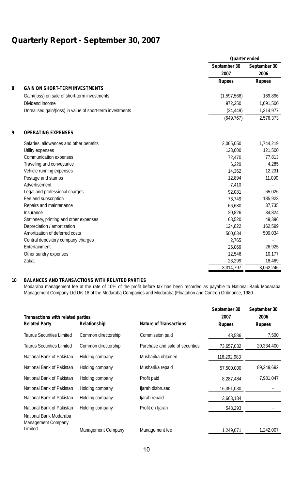|   |                                                           |                      | Quarter ended        |
|---|-----------------------------------------------------------|----------------------|----------------------|
|   |                                                           | September 30<br>2007 | September 30<br>2006 |
|   |                                                           | <b>Rupees</b>        | <b>Rupees</b>        |
| 8 | <b>GAIN ON SHORT-TERM INVESTMENTS</b>                     |                      |                      |
|   | Gain/(loss) on sale of short-term investments             | (1,597,568)          | 169,896              |
|   | Dividend income                                           | 972.250              | 1,091,500            |
|   | Unrealised gain/(loss) in value of short-term investments | (24, 449)            | 1,314,977            |
|   |                                                           | (649, 767)           | 2,576,373            |
| 9 | <b>OPERATING EXPENSES</b>                                 |                      |                      |
|   | Salaries, allowances and other benefits                   | 2,065,050            | 1,744,219            |
|   | Utility expenses                                          | 123,000              | 121,500              |
|   | Communication expenses                                    | 72,470               | 77,813               |
|   | Traveling and conveyance                                  | 6.220                | 4,285                |
|   | Vehicle running expenses                                  | 14.362               | 12,231               |
|   | Postage and stamps                                        | 12,894               | 11,090               |
|   | Advertisement                                             | 7,410                |                      |
|   | Legal and professional charges                            | 92.081               | 65,026               |
|   | Fee and subscription                                      | 76,749               | 185,923              |
|   | Repairs and maintenance                                   | 66,680               | 37,735               |
|   | Insurance                                                 | 20.826               | 34,824               |
|   | Stationery, printing and other expenses                   | 68,520               | 49,396               |
|   | Depreciation / amortization                               | 124,822              | 162,599              |
|   | Amortization of deferred costs                            | 500,034              | 500,034              |
|   | Central depository company charges                        | 2.765                | ٠                    |
|   | Entertainment                                             | 25,069               | 26,925               |
|   | Other sundry expenses                                     | 12,546               | 10,177               |
|   | Zakat                                                     | 23,299               | 18,469               |
|   |                                                           | 3,314,797            | 3,062,246            |

#### **10 BALANCES AND TRANSACTIONS WITH RELATED PARTIES**

Modaraba management fee at the rate of 10% of the profit before tax has been recorded as payable to National Bank Modaraba Management Company Ltd U/s 18 of the Modaraba Companies and Modaraba (Floatation and Control) Ordinance, 1980

| <b>Transactions with related parties</b>                       |                     | <b>Nature of Transactions</b>   | September 30<br>2007 | September 30<br>2006 |
|----------------------------------------------------------------|---------------------|---------------------------------|----------------------|----------------------|
| <b>Related Party</b>                                           | Relationship        |                                 | <b>Rupees</b>        | <b>Rupees</b>        |
| <b>Taurus Securities Limited</b>                               | Common directorship | Commission paid                 | 48,586               | 7,500                |
| <b>Taurus Securities Limited</b>                               | Common directorship | Purchase and sale of securities | 73,657,032           | 20,334,400           |
| National Bank of Pakistan                                      | Holding company     | Musharika obtained              | 116,292,983          |                      |
| National Bank of Pakistan                                      | Holding company     | Musharika repaid                | 57,500,000           | 89,249,692           |
| National Bank of Pakistan                                      | Holding company     | Profit paid                     | 8,287,484            | 7,981,047            |
| National Bank of Pakistan                                      | Holding company     | ljarah disbrused                | 16,351,030           |                      |
| National Bank of Pakistan                                      | Holding company     | ljarah repaid                   | 3,663,134            |                      |
| National Bank of Pakistan                                      | Holding company     | Profit on Ijarah                | 548.293              |                      |
| National Bank Modaraba<br><b>Management Company</b><br>Limited | Management Company  | Management fee                  | 1,249,071            | 1,242,007            |
|                                                                |                     |                                 |                      |                      |